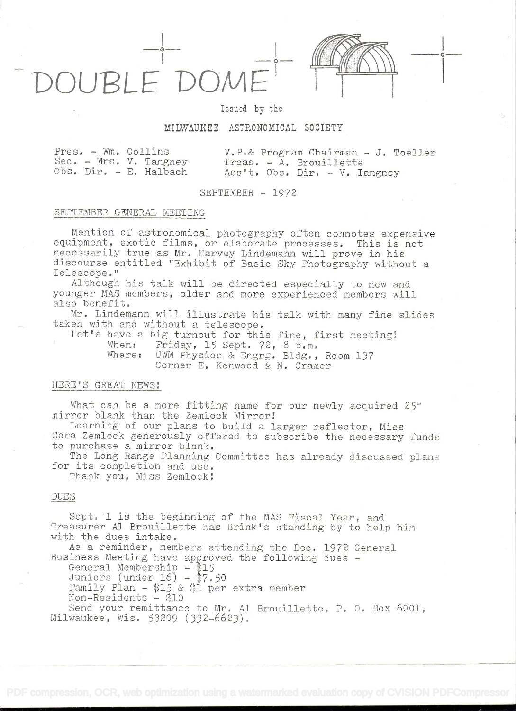UBLE DON



il a control de la control de la control de la control de la control de la control de la control de la control de la control de la control de la control de la control de la control de la control de la control de la control

# Issued by the

## MILWAUKEE ASTRONOMICAL SOCIETY

|  | $Press. - Wm. Collins$ |
|--|------------------------|
|  | Sec. - Mrs. V. Tangney |
|  | Obs. Dir. - E. Halbach |

V.P.& Program Chairman - J. Toeller Treas. - A. Brouillette Ass't. Obs. Dir. - V. Tangney

# SEFTEMBER - 1972

### SEPTEMBER GENERAL MEET INO

Mention of astronomical photography often connotes expensive equipment, exotic films, or elaborate processes. This is not necessarily true as Mr. Harvey Lindemann will prove in his discourse entitled "Exhibit of Basic Sky Photography without a Telescope."

Although his talk will be directed especially to new and younger MAS members, older and more experienced members will also benefit.

Mr. Lindemann will illustrate his talk with many fine slides taken with and without a telescope.

Let's have a big turnout for this fine, first meeting:<br>When: Friday, 15 Sept. 72. 8 p.m. When: Friday, 15 Sept. 72, 8 p.m.<br>Where: UWM Physics & Engre, Bldg., UWM Physics & Engrg. Bldg., Room 137 Corner E. Kenwood & N. Cramer

### HERE'S GREAT NEWS

What can be a more fitting name for our newly acquired 25" mirror blank than the Zemlock Mirror

Learning of our plans to build a larger reflector, Miss Cora Zemlock generously offered to subscribe the necessary funds to purchase a mirror blank.

The Long Range Planning Committee has already discussed plans for its completion and use.

Thank you, Miss Zemlock!

### DIJES

Sept. 1 is the beginning of the MAS Fiscal Year, and Treasurer Al Brouillette has Brink's standing by to help him with the dues intake.

As a reminder, members attending the Dec. 1972 General Business Meeting have approved the following dues - General Membership -  $$15$ 

Juniors (under  $16$ ) - \$7.50

Family Plan -  $15$  &  $1$  per extra member Non-Residents - \$10

Send your remittance to Mr. Al Brouillette, P. 0. Box 6001, Milwaukee, Wis. 53209 (332-6623).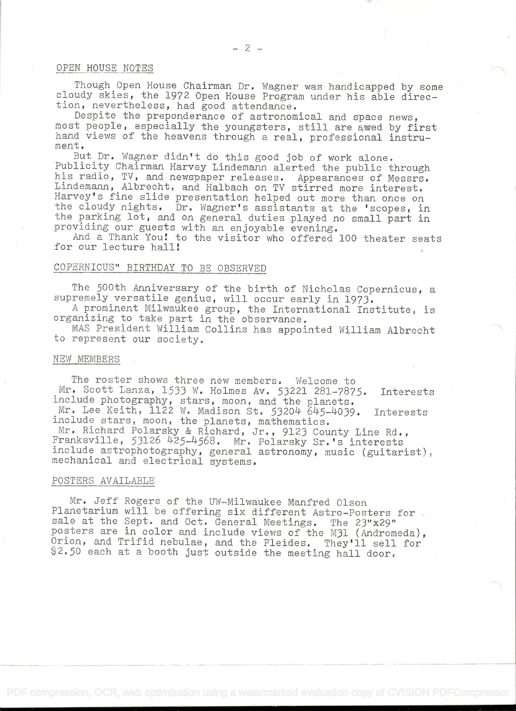### OPEN HOUSE NOTES

Though Open House Chairman Dr. Wagner was handicapped by some cloudy skies, the 1972 Open House Program under his able direction, nevertheless, had good attendance,

Despite the preponderance of astronomical and space news, most people, especially the youngsters, still are awed by first hand views of the heavens through a real, professional instrument.

But Dr. Wagner didn't do this good job of work alone. Publicity Chairman Harvey Lindemann alerted the public through his radio, TV, and newspaper releases. Appearances of Messrs. Lindemann, Albrecht, and Halbach on TV stirred more interest. Harvey's fine slide presentation helped out more than once on the cloudy nights. Dr. Wagner's assistants at the 'scopes, in the parking lot, and on general duties played no small part in providing our guests with an enjoyable evening.

And a Thank You! to the visitor who offered 100 theater seats for our lecture hall!

# COPERNICUS" BIRTHDAY TO BE OBSERVED

The 500th Anniversary of the birth of Nicholas Copernicus, a supremely versatile genius, will occur early in 1973.

A prominent Milwaukee group, the International Institute, is organizing to take part in the observance.

MAS President William Collins has appointed William Albrecht to represent our society.

### NEW MEMBERS

The roster shows three new members. Welcome to Mr, Scott Lanza, 1533 W. Holmes Av. 53221 281-7875. Interests include photography, stars, moon, and the planets. Mr. Lee Keith, 1122 W. Madison St. 53204 645-4039. Interests

include stars, moon, the planets, mathematics. Mr, Richard Polarsky & Richard, Jr., 9123 County Line Rd., Franksville, 53126 425-4568. Mr. Polarsky Sr.'s interests include astrophotography, general astronomy, music (guitarist), mechanical and electrical systems.

### POSTERS AVAILABLE

Mr. Jeff Rogers of the UW-Milwaukee Manfred Olson Planetarium will be offering six different Astro-Posters for sale at the Sept. and Oct. General Meetings. The 23"x29" posters are in color and include views of the M31 (Andromeda) Orion, and Trifid nebulae, and the Pleides. They'll sell for 2.5O each at a booth just outside the meeting hall door.